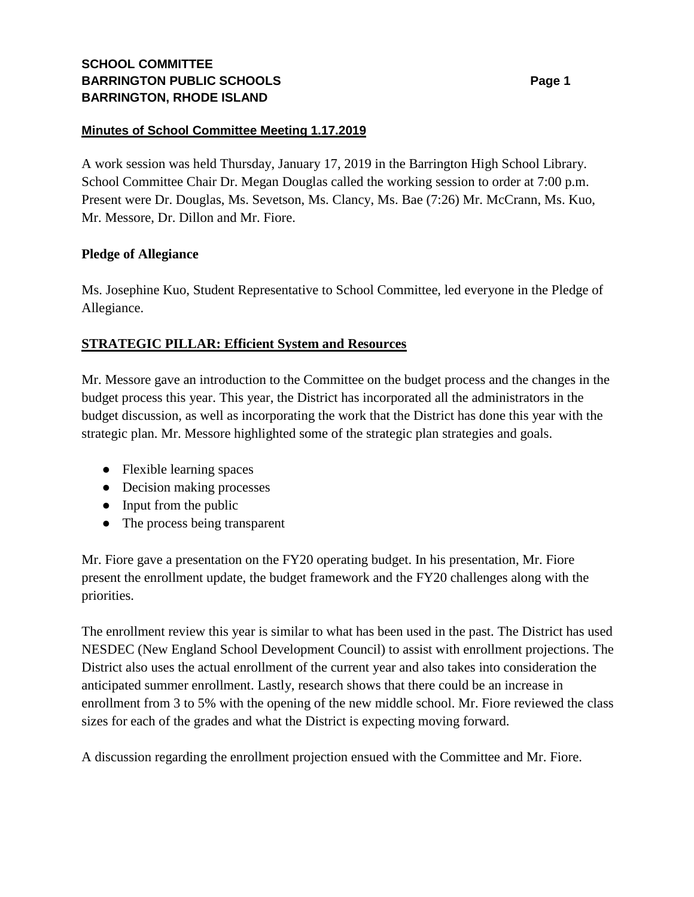# **SCHOOL COMMITTEE BARRINGTON PUBLIC SCHOOLS BARRINGTON, RHODE ISLAND**

## **Minutes of School Committee Meeting 1.17.2019**

A work session was held Thursday, January 17, 2019 in the Barrington High School Library. School Committee Chair Dr. Megan Douglas called the working session to order at 7:00 p.m. Present were Dr. Douglas, Ms. Sevetson, Ms. Clancy, Ms. Bae (7:26) Mr. McCrann, Ms. Kuo, Mr. Messore, Dr. Dillon and Mr. Fiore.

## **Pledge of Allegiance**

Ms. Josephine Kuo, Student Representative to School Committee, led everyone in the Pledge of Allegiance.

## **STRATEGIC PILLAR: Efficient System and Resources**

Mr. Messore gave an introduction to the Committee on the budget process and the changes in the budget process this year. This year, the District has incorporated all the administrators in the budget discussion, as well as incorporating the work that the District has done this year with the strategic plan. Mr. Messore highlighted some of the strategic plan strategies and goals.

- Flexible learning spaces
- Decision making processes
- Input from the public
- The process being transparent

Mr. Fiore gave a presentation on the FY20 operating budget. In his presentation, Mr. Fiore present the enrollment update, the budget framework and the FY20 challenges along with the priorities.

The enrollment review this year is similar to what has been used in the past. The District has used NESDEC (New England School Development Council) to assist with enrollment projections. The District also uses the actual enrollment of the current year and also takes into consideration the anticipated summer enrollment. Lastly, research shows that there could be an increase in enrollment from 3 to 5% with the opening of the new middle school. Mr. Fiore reviewed the class sizes for each of the grades and what the District is expecting moving forward.

A discussion regarding the enrollment projection ensued with the Committee and Mr. Fiore.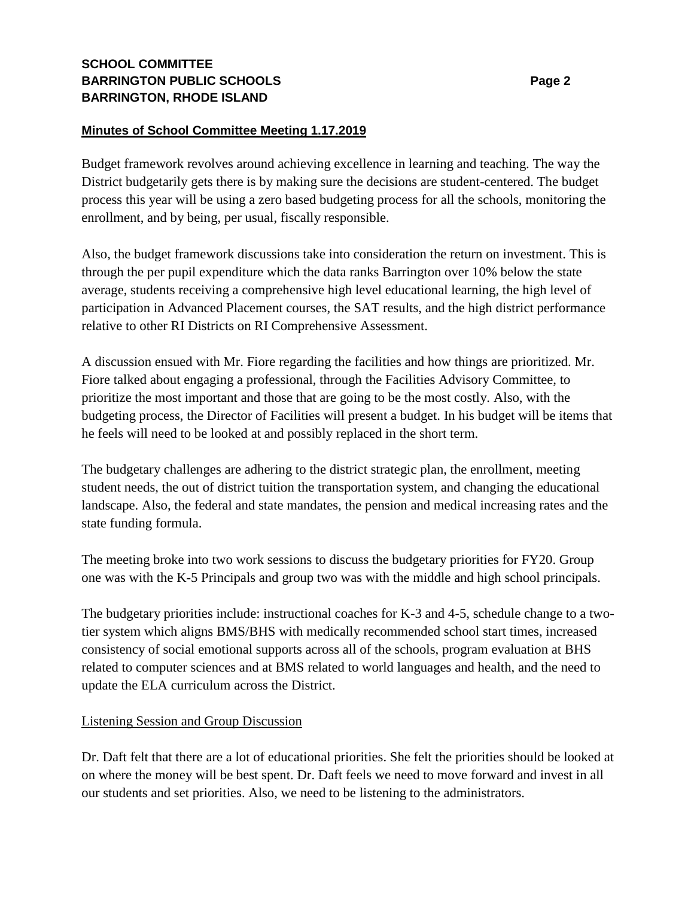# **SCHOOL COMMITTEE BARRINGTON PUBLIC SCHOOLS Page 2 BARRINGTON, RHODE ISLAND**

## **Minutes of School Committee Meeting 1.17.2019**

Budget framework revolves around achieving excellence in learning and teaching. The way the District budgetarily gets there is by making sure the decisions are student-centered. The budget process this year will be using a zero based budgeting process for all the schools, monitoring the enrollment, and by being, per usual, fiscally responsible.

Also, the budget framework discussions take into consideration the return on investment. This is through the per pupil expenditure which the data ranks Barrington over 10% below the state average, students receiving a comprehensive high level educational learning, the high level of participation in Advanced Placement courses, the SAT results, and the high district performance relative to other RI Districts on RI Comprehensive Assessment.

A discussion ensued with Mr. Fiore regarding the facilities and how things are prioritized. Mr. Fiore talked about engaging a professional, through the Facilities Advisory Committee, to prioritize the most important and those that are going to be the most costly. Also, with the budgeting process, the Director of Facilities will present a budget. In his budget will be items that he feels will need to be looked at and possibly replaced in the short term.

The budgetary challenges are adhering to the district strategic plan, the enrollment, meeting student needs, the out of district tuition the transportation system, and changing the educational landscape. Also, the federal and state mandates, the pension and medical increasing rates and the state funding formula.

The meeting broke into two work sessions to discuss the budgetary priorities for FY20. Group one was with the K-5 Principals and group two was with the middle and high school principals.

The budgetary priorities include: instructional coaches for K-3 and 4-5, schedule change to a twotier system which aligns BMS/BHS with medically recommended school start times, increased consistency of social emotional supports across all of the schools, program evaluation at BHS related to computer sciences and at BMS related to world languages and health, and the need to update the ELA curriculum across the District.

### Listening Session and Group Discussion

Dr. Daft felt that there are a lot of educational priorities. She felt the priorities should be looked at on where the money will be best spent. Dr. Daft feels we need to move forward and invest in all our students and set priorities. Also, we need to be listening to the administrators.